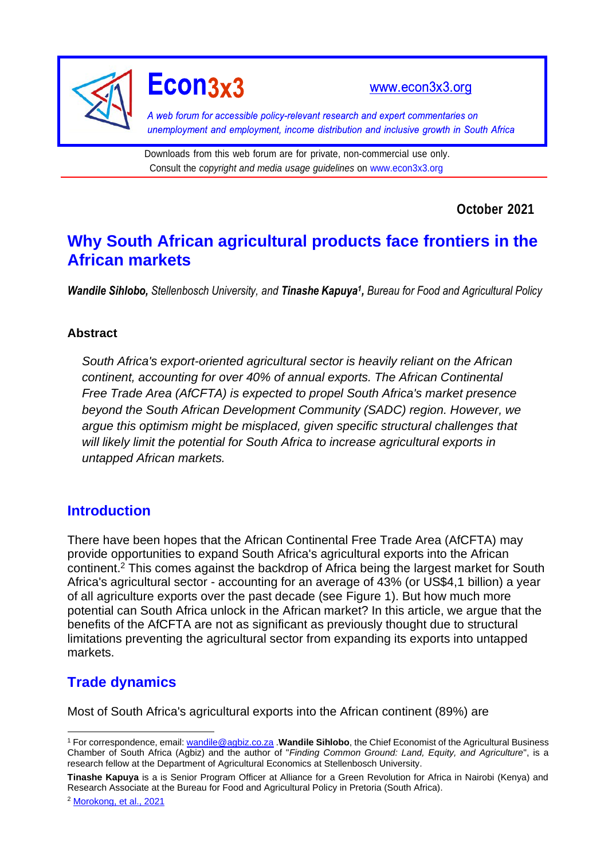

Econ3x3

www.econ3x3.org

A web forum for accessible policy-relevant research and expert commentaries on unemployment and employment, income distribution and inclusive growth in South Africa

Downloads from this web forum are for private, non-commercial use only. Consult the *copyright and media usage guidelines* on [www.econ3x3.org](http://www.econ3x3.org/)

**October 2021**

# **Why South African agricultural products face frontiers in the African markets**

*Wandile Sihlobo, Stellenbosch University, and Tinashe Kapuya<sup>1</sup> , Bureau for Food and Agricultural Policy*

#### **Abstract**

*South Africa's export-oriented agricultural sector is heavily reliant on the African continent, accounting for over 40% of annual exports. The African Continental Free Trade Area (AfCFTA) is expected to propel South Africa's market presence beyond the South African Development Community (SADC) region. However, we argue this optimism might be misplaced, given specific structural challenges that will likely limit the potential for South Africa to increase agricultural exports in untapped African markets.*

#### **Introduction**

There have been hopes that the African Continental Free Trade Area (AfCFTA) may provide opportunities to expand South Africa's agricultural exports into the African continent. <sup>2</sup> This comes against the backdrop of Africa being the largest market for South Africa's agricultural sector - accounting for an average of 43% (or US\$4,1 billion) a year of all agriculture exports over the past decade (see Figure 1). But how much more potential can South Africa unlock in the African market? In this article, we argue that the benefits of the AfCFTA are not as significant as previously thought due to structural limitations preventing the agricultural sector from expanding its exports into untapped markets.

### **Trade dynamics**

Most of South Africa's agricultural exports into the African continent (89%) are

**Tinashe Kapuya** is a is Senior Program Officer at Alliance for a Green Revolution for Africa in Nairobi (Kenya) and Research Associate at the Bureau for Food and Agricultural Policy in Pretoria (South Africa).

<sup>2</sup> [Morokong, et al., 2021](https://www.econ3x3.org/article/new-opportunities-south-african-agriculture-african-continental-free-trade-area)

<sup>1</sup> For correspondence, email: [wandile@agbiz.co.za](mailto:wandile@agbiz.co.za) .**Wandile Sihlobo**, the Chief Economist of the Agricultural Business Chamber of South Africa (Agbiz) and the author of "*Finding Common Ground: Land, Equity, and Agriculture*", is a research fellow at the Department of Agricultural Economics at Stellenbosch University.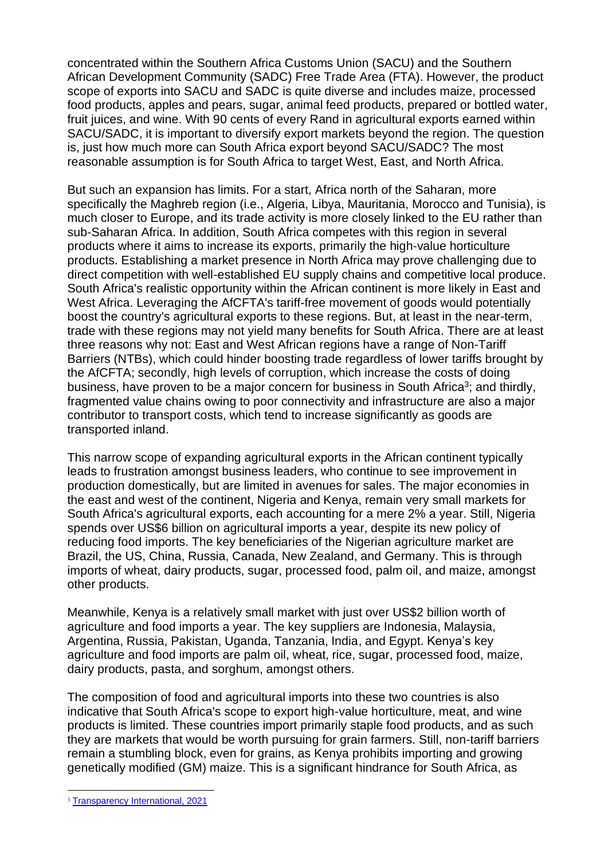concentrated within the Southern Africa Customs Union (SACU) and the Southern African Development Community (SADC) Free Trade Area (FTA). However, the product scope of exports into SACU and SADC is quite diverse and includes maize, processed food products, apples and pears, sugar, animal feed products, prepared or bottled water, fruit juices, and wine. With 90 cents of every Rand in agricultural exports earned within SACU/SADC, it is important to diversify export markets beyond the region. The question is, just how much more can South Africa export beyond SACU/SADC? The most reasonable assumption is for South Africa to target West, East, and North Africa.

But such an expansion has limits. For a start, Africa north of the Saharan, more specifically the Maghreb region (i.e., Algeria, Libya, Mauritania, Morocco and Tunisia), is much closer to Europe, and its trade activity is more closely linked to the EU rather than sub-Saharan Africa. In addition, South Africa competes with this region in several products where it aims to increase its exports, primarily the high-value horticulture products. Establishing a market presence in North Africa may prove challenging due to direct competition with well-established EU supply chains and competitive local produce. South Africa's realistic opportunity within the African continent is more likely in East and West Africa. Leveraging the AfCFTA's tariff-free movement of goods would potentially boost the country's agricultural exports to these regions. But, at least in the near-term, trade with these regions may not yield many benefits for South Africa. There are at least three reasons why not: East and West African regions have a range of Non-Tariff Barriers (NTBs), which could hinder boosting trade regardless of lower tariffs brought by the AfCFTA; secondly, high levels of corruption, which increase the costs of doing business, have proven to be a major concern for business in South Africa<sup>3</sup>; and thirdly, fragmented value chains owing to poor connectivity and infrastructure are also a major contributor to transport costs, which tend to increase significantly as goods are transported inland.

This narrow scope of expanding agricultural exports in the African continent typically leads to frustration amongst business leaders, who continue to see improvement in production domestically, but are limited in avenues for sales. The major economies in the east and west of the continent, Nigeria and Kenya, remain very small markets for South Africa's agricultural exports, each accounting for a mere 2% a year. Still, Nigeria spends over US\$6 billion on agricultural imports a year, despite its new policy of reducing food imports. The key beneficiaries of the Nigerian agriculture market are Brazil, the US, China, Russia, Canada, New Zealand, and Germany. This is through imports of wheat, dairy products, sugar, processed food, palm oil, and maize, amongst other products.

Meanwhile, Kenya is a relatively small market with just over US\$2 billion worth of agriculture and food imports a year. The key suppliers are Indonesia, Malaysia, Argentina, Russia, Pakistan, Uganda, Tanzania, India, and Egypt. Kenya's key agriculture and food imports are palm oil, wheat, rice, sugar, processed food, maize, dairy products, pasta, and sorghum, amongst others.

The composition of food and agricultural imports into these two countries is also indicative that South Africa's scope to export high-value horticulture, meat, and wine products is limited. These countries import primarily staple food products, and as such they are markets that would be worth pursuing for grain farmers. Still, non-tariff barriers remain a stumbling block, even for grains, as Kenya prohibits importing and growing genetically modified (GM) maize. This is a significant hindrance for South Africa, as

<sup>3</sup> [Transparency International, 2021](https://www.transparency.org/en/news/cpi-2020-sub-saharan-africa)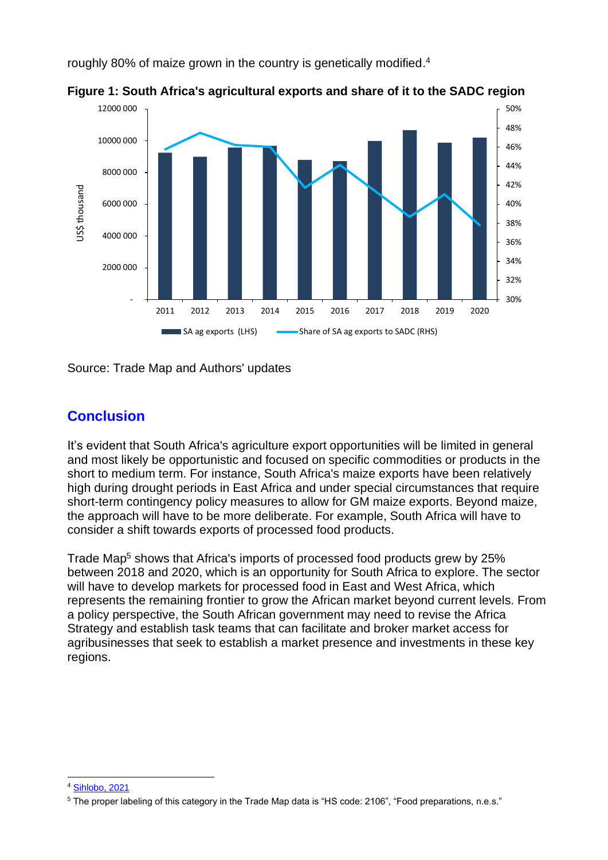roughly 80% of maize grown in the country is genetically modified.<sup>4</sup>



**Figure 1: South Africa's agricultural exports and share of it to the SADC region**

Source: Trade Map and Authors' updates

## **Conclusion**

It's evident that South Africa's agriculture export opportunities will be limited in general and most likely be opportunistic and focused on specific commodities or products in the short to medium term. For instance, South Africa's maize exports have been relatively high during drought periods in East Africa and under special circumstances that require short-term contingency policy measures to allow for GM maize exports. Beyond maize, the approach will have to be more deliberate. For example, South Africa will have to consider a shift towards exports of processed food products.

Trade Map<sup>5</sup> shows that Africa's imports of processed food products grew by 25% between 2018 and 2020, which is an opportunity for South Africa to explore. The sector will have to develop markets for processed food in East and West Africa, which represents the remaining frontier to grow the African market beyond current levels. From a policy perspective, the South African government may need to revise the Africa Strategy and establish task teams that can facilitate and broker market access for agribusinesses that seek to establish a market presence and investments in these key regions.

<sup>4</sup> [Sihlobo, 2021](https://www.news24.com/fin24/opinion/wandile-sihlobo-africa-is-not-a-good-maize-export-market-right-now-heres-why-20210419)

<sup>5</sup> The proper labeling of this category in the Trade Map data is "HS code: 2106", "Food preparations, n.e.s."